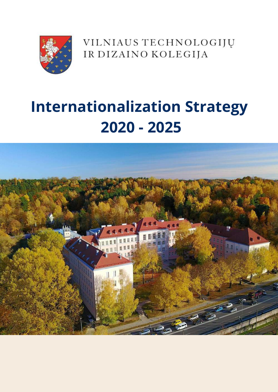

VILNIAUS TECHNOLOGIJŲ IR DIZAINO KOLEGIJA

# $\begin{array}{c}\n\bullet \\
\bullet \\
\bullet\n\end{array}$ Voga Boutique **2020 - 2025Internationalization Strategy**

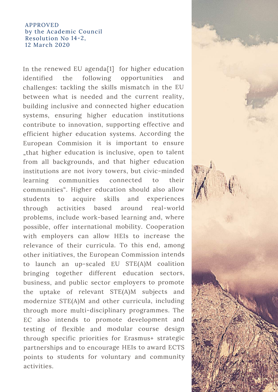#### APPROVED by the Academic Council Resolution No 14-2, 12 March 2020

In the renewed EU agenda[1] for higher education identified the following opportunities and challenges: tackling the skills mismatch in the EU between what is needed and the current reality, building inclusive and connected higher education systems, ensuring higher education institutions contribute to innovation, supporting effective and efficient higher education systems. According the European Commision it is important to ensure "that higher education is inclusive, open to talent from all backgrounds, and that higher education institutions are not ivory towers, but civic-minded learning communities connected to their communities". Higher education should also allow students to acquire skills and experiences through activities based around real-world problems, include work-based learning and, where possible, offer international mobility. Cooperation with employers can allow HEIs to increase the relevance of their curricula. To this end, among other initiatives, the European Commission intends to launch an up-scaled EU STE(A)M coalition bringing together different education sectors, business, and public sector employers to promote the uptake of relevant STE(A)M subjects and modernize STE(A)M and other curricula, including through more multi-disciplinary programmes. The EC also intends to promote development and testing of flexible and modular course design through specific priorities for Erasmus+ strategic partnerships and to encourage HEIs to award ECTS points to students for voluntary and community activities.

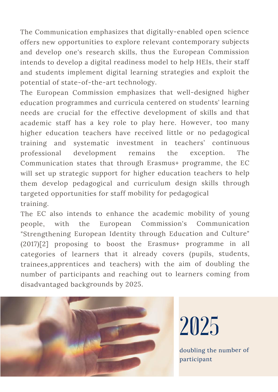The Communication emphasizes that digitally-enabled open science offers new opportunities to explore relevant contemporary subjects and develop one's research skills, thus the European Commission intends to develop <sup>a</sup> digital readiness model to help HEIs, their staff and students implement digital learning strategies and exploit the potential of state-of-the-art technology.

The European Commission emphasizes that well-designed higher education programmes and curricula centered on students' learning needs are crucial for the effective development of skills and that academic staff has <sup>a</sup> key role to play here. However, too many higher education teachers have received little or no pedagogical training and systematic investment in teachers' continuous professional development remains the exception. The Communication states that through Erasmus+ programme, the EC will set up strategic suppor<sup>t</sup> for higher education teachers to help them develop pedagogical and curriculum design skills through targeted opportunities for staff mobility for pedagogical training.

The EC also intends to enhance the academic mobility of young people, with the European Commission's Communication "Strengthening European Identity through Education and Culture" (2017)[2] proposing to boost the Erasmus+ programme in all categories of learners that it already covers (pupils, students, trainees,apprentices and teachers) with the aim of doubling the number of participants and reaching out to learners coming from disadvantaged backgrounds by 2025.



2025

doubling the number of participant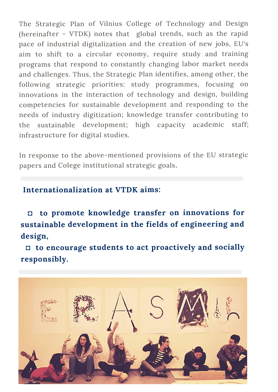The Strategic Plan of Vilnius College of Technology and Design (hereinafter - VTDK) notes that global trends, such as the rapid pace of industrial digitalization and the creation of new jobs, EU's aim to shift to <sup>a</sup> circular economy, require study and training programs that respond to constantly changing labor market needs and challenges. Thus, the Strategic Plan identifies, among other, the following strategic priorities: study programmes, focusing on innovations in the interaction of technology and design, building competencies for sustainable development and responding to the needs of industry digitization; knowledge transfer contributing to the sustainable development; high capacity academic staff; infrastructure for digital studies.

In response to the above-mentioned provisions of the EU strategic papers and Colege institutional strategic goals,

## **Internationalization at VTDK aims:**

**◘ to promote knowledge transfer on innovations for sustainable development in the fields of engineering and design,**

**◘ to encourage students to act proactively and socially responsibly.**

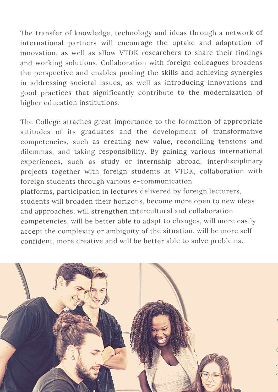The transfer of knowledge, technology and ideas through <sup>a</sup> network of international partners will encourage the uptake and adaptation of innovation, as well as allow VTDK researchers to share their findings and working solutions. Collaboration with foreign colleagues broadens the perspective and enables pooling the skills and achieving synergies in addressing societal issues, as well as introducing innovations and goo<sup>d</sup> practices that significantly contribute to the modernization of higher education institutions.

The College attaches great importance to the formation of appropriate attitudes of its graduates and the development of transformative competencies, such as creating new value, reconciling tensions and dilemmas, and taking responsibility. By gaining various international experiences, such as study or internship abroad, interdisciplinary projects together with foreign students at VTDK, collaboration with foreign students through various e-communication platforms, participation in lectures delivered by foreign lecturers, students will broaden their horizons, become more open to new ideas and approaches, will strengthen intercultural and collaboration competencies, will be better able to adapt to changes, will more easily accep<sup>t</sup> the complexity or ambiguity of the situation, will be more selfconfident, more creative and will be better able to solve problems.

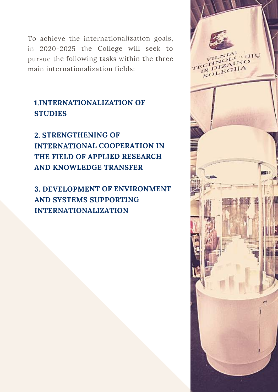To achieve the internationalization goals, in 2020-2025 the College will seek to pursue the following tasks within the three main internationalization fields:

## **1.INTERNATIONALIZATION OF STUDIES**

**2. STRENGTHENING OF INTERNATIONAL COOPERATION IN THE FIELD OF APPLIED RESEARCH AND KNOWLEDGE TRANSFER**

**3. DEVELOPMENT OF ENVIRONMENT AND SYSTEMS SUPPORTING INTERNATIONALIZATION**

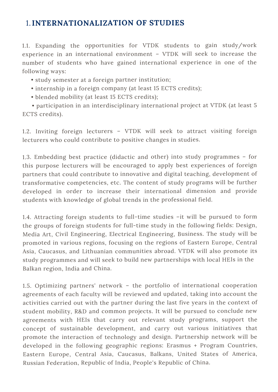## 1.**INTERNATIONALIZATION OF STUDIES**

1.1. Expanding the opportunities for VTDK students to gain study/work experience in an international environment – VTDK will seek to increase the number of students who have gained international experience in one of the following ways:

- study semester at <sup>a</sup> foreign partner institution;
- internship in <sup>a</sup> foreign company (at least 15 ECTS credits);
- blended mobility (at least 15 ECTS credits);

• participation in an interdisciplinary international project at VTDK (at least 5 ECTS credits).

1.2. Inviting foreign lecturers – VTDK will seek to attract visiting foreign lecturers who could contribute to positive changes in studies.

1.3. Embedding best practice (didactic and other) into study programmes – for this purpose lecturers will be encouraged to apply best experiences of foreign partners that could contribute to innovative and digital teaching, development of transformative competencies, etc. The content of study programs will be further developed in order to increase their international dimension and provide students with knowledge of global trends in the professional field.

1.4. Attracting foreign students to full-time studies –it will be pursued to form the groups of foreign students for full-time study in the following fields: Design, Media Art, Civil Engineering, Electrical Engineering, Business. The study will be promoted in various regions, focusing on the regions of Eastern Europe, Central Asia, Caucasus, and Lithuanian communities abroad. VTDK will also promote its study programmes and will seek to build new partnerships with local HEIs in the Balkan region, India and China.

1.5. Optimizing partners' network – the portfolio of international cooperation agreements of each faculty will be reviewed and updated, taking into account the activities carried out with the partner during the last five years in the context of student mobility, R&D and common projects. It will be pursued to conclude new agreements with HEIs that carry out relevant study programs, suppor<sup>t</sup> the concep<sup>t</sup> of sustainable development, and carry out various initiatives that promote the interaction of technology and design. Partnership network will be developed in the following geographic regions: Erasmus <sup>+</sup> Program Countries, Eastern Europe, Central Asia, Caucasus, Balkans, United States of America, Russian Federation, Republic of India, People's Republic of China.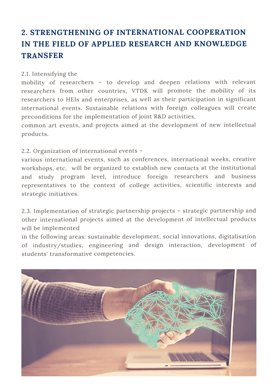# **2. STRENGTHENING OF INTERNATIONAL COOPERATION IN THE FIELD OF APPLIED RESEARCH AND KNOWLEDGE TRANSFER**

#### 2.1. Intensifying the

mobility of researchers – to develop and deepen relations with relevant researchers from other countries, VTDK will promote the mobility of its researchers to HEIs and enterprises, as well as their participation in significant international events. Sustainable relations with foreign colleagues will create preconditions for the implementation of joint R&D activities,

common art events, and projects aimed at the development of new intellectual products.

#### 2.2. Organization of international events –

various international events, such as conferences, international weeks, creative workshops, etc. will be organized to establish new contacts at the institutional and study program level, introduce foreign researchers and business representatives to the context of college activities, scientific interests and strategic initiatives.

2.3. Implementation of strategic partnership projects – strategic partnership and other international projects aimed at the development of intellectual products will be implemented

in the following areas: sustainable development, social innovations, digitalisation of industry/studies, engineering and design interaction, development of students' transformative competencies.

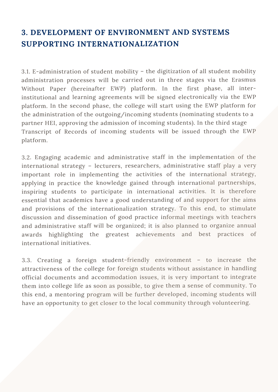# **3. DEVELOPMENT OF ENVIRONMENT AND SYSTEMS SUPPORTING INTERNATIONALIZATION**

3.1. E-administration of student mobility – the digitization of all student mobility administration processes will be carried out in three stages via the Erasmus Without Paper (hereinafter EWP) platform. In the first phase, all interinstitutional and learning agreements will be signed electronically via the EWP <sup>p</sup>latform. In the second <sup>p</sup>hase, the college will start using the EWP <sup>p</sup>latform for the administration of the outgoing/incoming students (nominating students to <sup>a</sup> partner HEI, approving the admission of incoming students). In the third stage Transcript of Records of incoming students will be issued through the EWP platform.

3.2. Engaging academic and administrative staff in the implementation of the international strategy – lecturers, researchers, administrative staff play <sup>a</sup> very important role in implementing the activities of the international strategy, applying in practice the knowledge gained through international partnerships, inspiring students to participate in international activities. It is therefore essential that academics have <sup>a</sup> good understanding of and suppor<sup>t</sup> for the aims and provisions of the internationalization strategy. To this end, to stimulate discussion and dissemination of good practice informal meetings with teachers and administrative staff will be organized; it is also planned to organize annual awards highlighting the greatest achievements and best practices of international initiatives.

3.3. Creating <sup>a</sup> foreign student-friendly environment – to increase the attractiveness of the college for foreign students without assistance in handling official documents and accommodation issues, it is very important to integrate them into college life as soon as possible, to give them <sup>a</sup> sense of community. To this end, <sup>a</sup> mentoring program will be further developed, incoming students will have an opportunity to get closer to the local community through volunteering.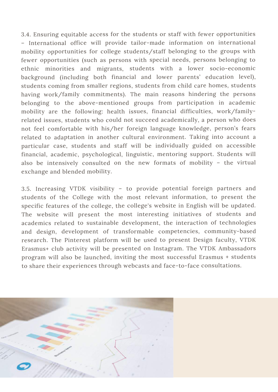3.4. Ensuring equitable access for the students or staff with fewer opportunities – International office will provide tailor-made information on international mobility opportunities for college students/staff belonging to the groups with fewer opportunities (such as persons with special needs, persons belonging to ethnic minorities and migrants, students with <sup>a</sup> lower socio-economic background (including both financial and lower parents' education level), students coming from smaller regions, students from child care homes, students having work/family commitments). The main reasons hindering the persons belonging to the above-mentioned groups from participation in academic mobility are the following: health issues, financial difficulties, work/familyrelated issues, students who could not succeed academically, <sup>a</sup> person who does not feel comfortable with his/her foreign language knowledge, person's fears related to adaptation in another cultural environment. Taking into account <sup>a</sup> particular case, students and staff will be individually guided on accessible financial, academic, psychological, linguistic, mentoring support. Students will also be intensively consulted on the new formats of mobility – the virtual exchange and blended mobility.

3.5. Increasing VTDK visibility – to provide potential foreign partners and students of the College with the most relevant information, to presen<sup>t</sup> the specific features of the college, the college's website in English will be updated. The website will presen<sup>t</sup> the most interesting initiatives of students and academics related to sustainable development, the interaction of technologies and design, development of transformable competencies, community-based research. The Pinterest platform will be used to presen<sup>t</sup> Design faculty, VTDK Erasmus+ club activity will be presented on Instagram. The VTDK Ambassadors program will also be launched, inviting the most successful Erasmus <sup>+</sup> students to share their experiences through webcasts and face-to-face consultations.

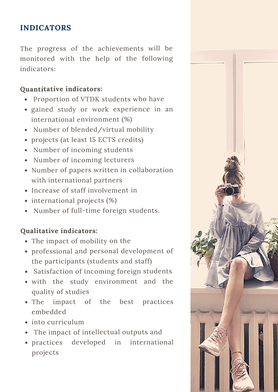## **INDICATORS**

The progress of the achievements will be monitored with the help of the following indicators:

## **Quantitative indicators:**

- Proportion of VTDK students who have
- gained study or work experience in an international environment (%)
- Number of blended/virtual mobility
- projects (at least 15 ECTS credits)
- Number of incoming students
- Number of incoming lecturers
- Number of papers written in collaboration with international partners
- Increase of staff involvement in
- international projects (%)
- Number of full-time foreign students.

## **Qualitative indicators:**

- The impact of mobility on the
- professional and personal development of the participants (students and staff)
- Satisfaction of incoming foreign students
- with the study environment and the quality of studies
- The impact of the best practices embedded
- into curriculum
- The impact of intellectual outputs and
- practices developed in international projects